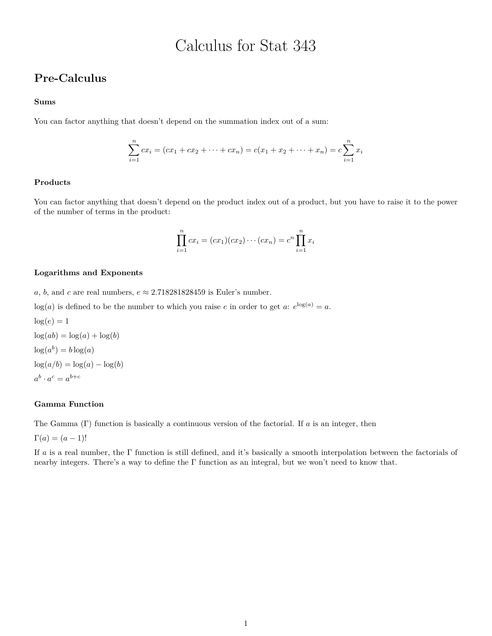# Calculus for Stat 343

# **Pre-Calculus**

# **Sums**

You can factor anything that doesn't depend on the summation index out of a sum:

$$
\sum_{i=1}^{n} cx_i = (cx_1 + cx_2 + \dots + cx_n) = c(x_1 + x_2 + \dots + x_n) = c \sum_{i=1}^{n} x_i
$$

### **Products**

You can factor anything that doesn't depend on the product index out of a product, but you have to raise it to the power of the number of terms in the product:

$$
\prod_{i=1}^{n} cx_i = (cx_1)(cx_2)\cdots (cx_n) = c^n \prod_{i=1}^{n} x_i
$$

#### **Logarithms and Exponents**

 $a,\,b,$  and  $c$  are real numbers,  $e\approx 2.718281828459$  is Euler's number.

 $log(a)$  is defined to be the number to which you raise *e* in order to get *a*:  $e^{log(a)} = a$ .

 $log(e) = 1$  $\log(ab) = \log(a) + \log(b)$  $\log(a^b) = b \log(a)$  $\log(a/b) = \log(a) - \log(b)$  $a^b \cdot a^c = a^{b+c}$ 

### **Gamma Function**

The Gamma (Γ) function is basically a continuous version of the factorial. If *a* is an integer, then

 $\Gamma(a) = (a - 1)!$ 

If *a* is a real number, the Γ function is still defined, and it's basically a smooth interpolation between the factorials of nearby integers. There's a way to define the  $\Gamma$  function as an integral, but we won't need to know that.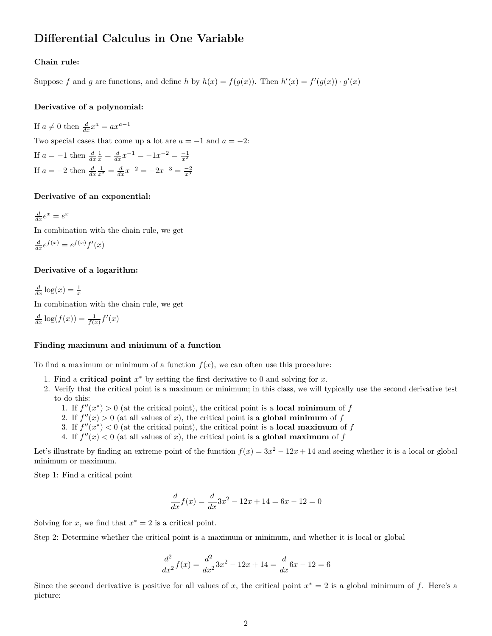# **Differential Calculus in One Variable**

# **Chain rule:**

Suppose *f* and *g* are functions, and define *h* by  $h(x) = f(g(x))$ . Then  $h'(x) = f'(g(x)) \cdot g'(x)$ 

# **Derivative of a polynomial:**

If  $a \neq 0$  then  $\frac{d}{dx}x^a = ax^{a-1}$ 

Two special cases that come up a lot are  $a = -1$  and  $a = -2$ :

If  $a = -1$  then  $\frac{d}{dx} \frac{1}{x} = \frac{d}{dx} x^{-1} = -1x^{-2} = \frac{-1}{x^2}$ If  $a = -2$  then  $\frac{d}{dx} \frac{1}{x^2} = \frac{d}{dx} x^{-2} = -2x^{-3} = \frac{-2}{x^3}$ 

#### **Derivative of an exponential:**

$$
\frac{d}{dx}e^x = e^x
$$

In combination with the chain rule, we get  $\frac{f(x,y)}{f(x,y)}$ 

$$
\frac{d}{dx}e^{f(x)} = e^{f(x)}f'(x)
$$

## **Derivative of a logarithm:**

 $\frac{d}{dx}$  log(*x*) =  $\frac{1}{x}$ 

In combination with the chain rule, we get

 $\frac{d}{dx}$  log( $f(x)$ ) =  $\frac{1}{f(x)}f'(x)$ 

#### **Finding maximum and minimum of a function**

To find a maximum or minimum of a function  $f(x)$ , we can often use this procedure:

- 1. Find a **critical point**  $x^*$  by setting the first derivative to 0 and solving for  $x$ .
- 2. Verify that the critical point is a maximum or minimum; in this class, we will typically use the second derivative test to do this:
	- 1. If  $f''(x^*) > 0$  (at the critical point), the critical point is a **local minimum** of *f*
	- 2. If  $f''(x) > 0$  (at all values of x), the critical point is a **global minimum** of *f*
	- 3. If  $f''(x^*) < 0$  (at the critical point), the critical point is a **local maximum** of *f*
	- 4. If  $f''(x) < 0$  (at all values of x), the critical point is a **global maximum** of f

Let's illustrate by finding an extreme point of the function  $f(x) = 3x^2 - 12x + 14$  and seeing whether it is a local or global minimum or maximum.

Step 1: Find a critical point

$$
\frac{d}{dx}f(x) = \frac{d}{dx}3x^2 - 12x + 14 = 6x - 12 = 0
$$

Solving for *x*, we find that  $x^* = 2$  is a critical point.

Step 2: Determine whether the critical point is a maximum or minimum, and whether it is local or global

$$
\frac{d^2}{dx^2}f(x) = \frac{d^2}{dx^2}3x^2 - 12x + 14 = \frac{d}{dx}6x - 12 = 6
$$

Since the second derivative is positive for all values of x, the critical point  $x^* = 2$  is a global minimum of f. Here's a picture: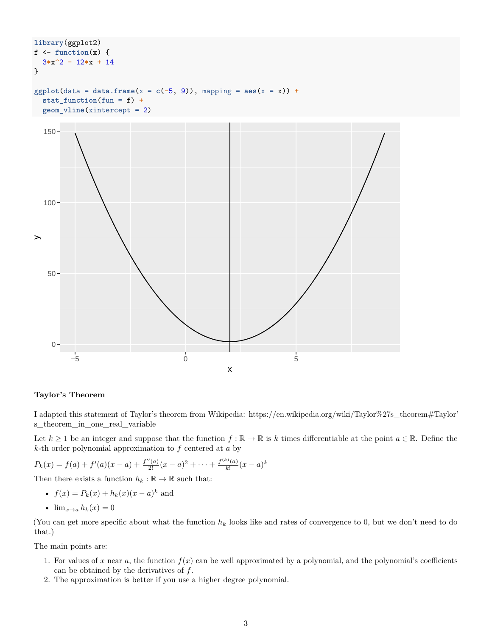

#### **Taylor's Theorem**

I adapted this statement of Taylor's theorem from Wikipedia: [https://en.wikipedia.org/wiki/Taylor%27s\\_theorem#Taylor'](https://en.wikipedia.org/wiki/Taylor%27s_theorem#Taylor) [s\\_theorem\\_in\\_one\\_real\\_variable](https://en.wikipedia.org/wiki/Taylor%27s_theorem#Taylor)

Let  $k \geq 1$  be an integer and suppose that the function  $f : \mathbb{R} \to \mathbb{R}$  is k times differentiable at the point  $a \in \mathbb{R}$ . Define the *k*-th order polynomial approximation to *f* centered at *a* by

 $P_k(x) = f(a) + f'(a)(x - a) + \frac{f''(a)}{2!}(x - a)^2 + \cdots + \frac{f^{(k)}(a)}{k!}$  $\frac{\partial^{(i)}(a)}{\partial k!}(x-a)^k$ 

Then there exists a function  $h_k : \mathbb{R} \to \mathbb{R}$  such that:

- $f(x) = P_k(x) + h_k(x)(x a)^k$  and
- $\lim_{x\to a} h_k(x) = 0$

(You can get more specific about what the function  $h_k$  looks like and rates of convergence to 0, but we don't need to do that.)

The main points are:

- 1. For values of x near  $a$ , the function  $f(x)$  can be well approximated by a polynomial, and the polynomial's coefficients can be obtained by the derivatives of *f*.
- 2. The approximation is better if you use a higher degree polynomial.